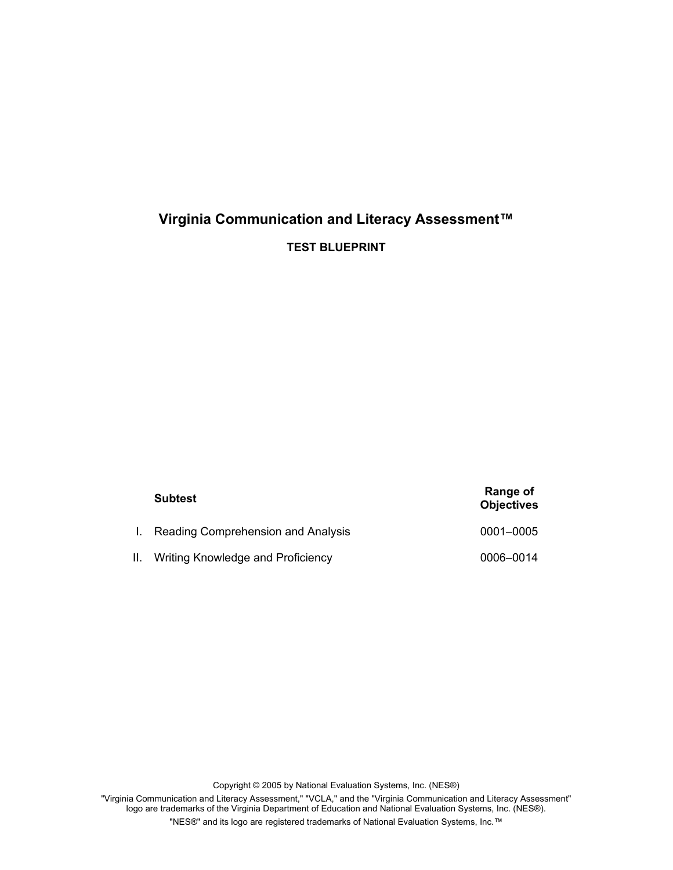# **Virginia Communication and Literacy Assessment™**

**TEST BLUEPRINT**

|    | <b>Subtest</b>                     | Range of<br><b>Objectives</b> |
|----|------------------------------------|-------------------------------|
|    | Reading Comprehension and Analysis | 0001-0005                     |
| Н. | Writing Knowledge and Proficiency  | 0006-0014                     |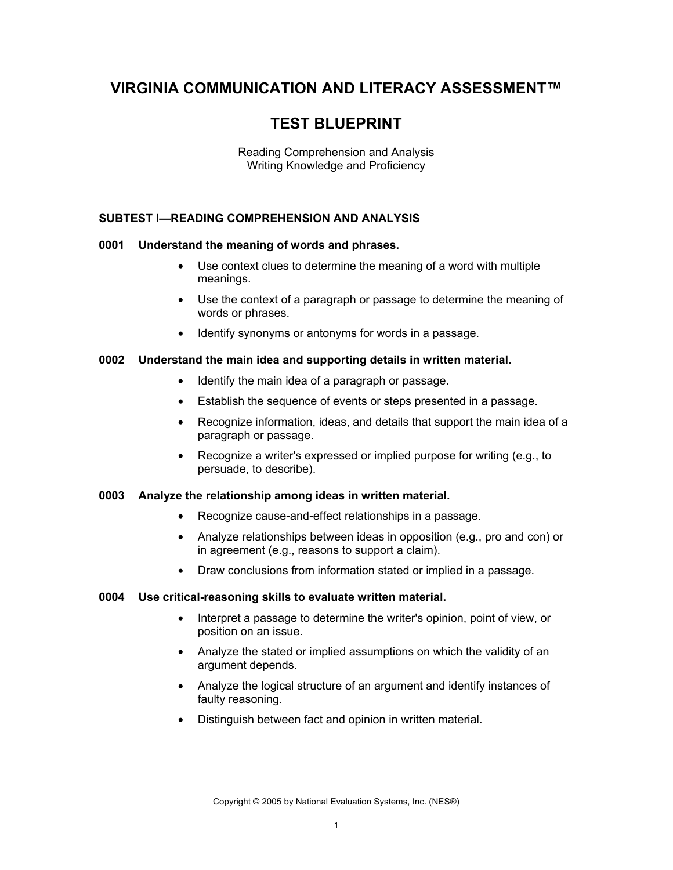## **VIRGINIA COMMUNICATION AND LITERACY ASSESSMENT™**

# **TEST BLUEPRINT**

Reading Comprehension and Analysis Writing Knowledge and Proficiency

## **SUBTEST I—READING COMPREHENSION AND ANALYSIS**

## **0001 Understand the meaning of words and phrases.**

- Use context clues to determine the meaning of a word with multiple meanings.
- Use the context of a paragraph or passage to determine the meaning of words or phrases.
- Identify synonyms or antonyms for words in a passage.

#### **0002 Understand the main idea and supporting details in written material.**

- Identify the main idea of a paragraph or passage.
- Establish the sequence of events or steps presented in a passage.
- Recognize information, ideas, and details that support the main idea of a paragraph or passage.
- Recognize a writer's expressed or implied purpose for writing (e.g., to persuade, to describe).

#### **0003 Analyze the relationship among ideas in written material.**

- Recognize cause-and-effect relationships in a passage.
- Analyze relationships between ideas in opposition (e.g., pro and con) or in agreement (e.g., reasons to support a claim).
- Draw conclusions from information stated or implied in a passage.

#### **0004 Use critical-reasoning skills to evaluate written material.**

- Interpret a passage to determine the writer's opinion, point of view, or position on an issue.
- Analyze the stated or implied assumptions on which the validity of an argument depends.
- Analyze the logical structure of an argument and identify instances of faulty reasoning.
- Distinguish between fact and opinion in written material.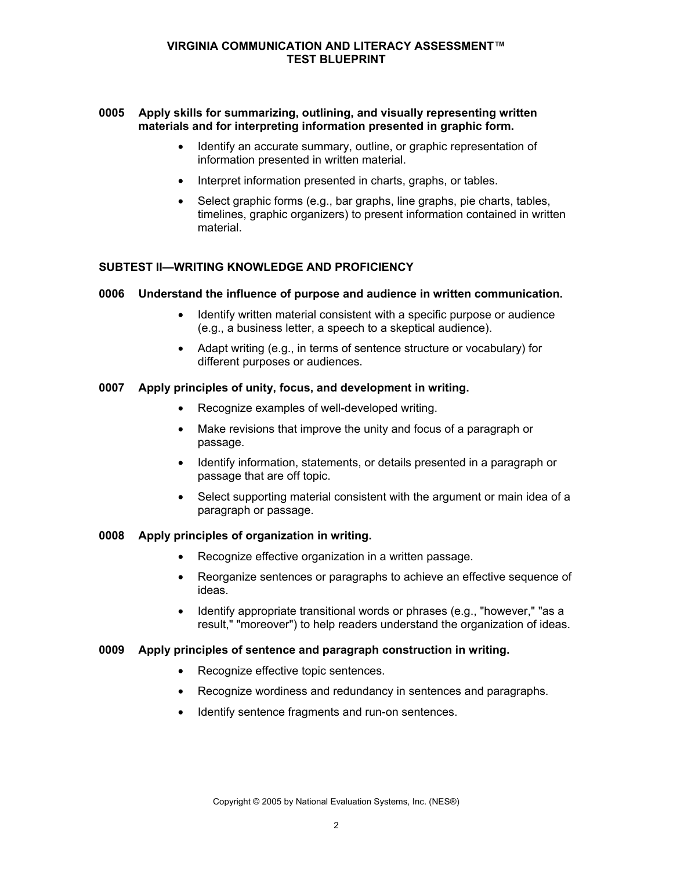### **VIRGINIA COMMUNICATION AND LITERACY ASSESSMENT™ TEST BLUEPRINT**

### **0005 Apply skills for summarizing, outlining, and visually representing written materials and for interpreting information presented in graphic form.**

- Identify an accurate summary, outline, or graphic representation of information presented in written material.
- Interpret information presented in charts, graphs, or tables.
- Select graphic forms (e.g., bar graphs, line graphs, pie charts, tables, timelines, graphic organizers) to present information contained in written material.

#### **SUBTEST II—WRITING KNOWLEDGE AND PROFICIENCY**

#### **0006 Understand the influence of purpose and audience in written communication.**

- Identify written material consistent with a specific purpose or audience (e.g., a business letter, a speech to a skeptical audience).
- Adapt writing (e.g., in terms of sentence structure or vocabulary) for different purposes or audiences.

### **0007 Apply principles of unity, focus, and development in writing.**

- Recognize examples of well-developed writing.
- Make revisions that improve the unity and focus of a paragraph or passage.
- Identify information, statements, or details presented in a paragraph or passage that are off topic.
- Select supporting material consistent with the argument or main idea of a paragraph or passage.

#### **0008 Apply principles of organization in writing.**

- Recognize effective organization in a written passage.
- Reorganize sentences or paragraphs to achieve an effective sequence of ideas.
- Identify appropriate transitional words or phrases (e.g., "however," "as a result," "moreover") to help readers understand the organization of ideas.

#### **0009 Apply principles of sentence and paragraph construction in writing.**

- Recognize effective topic sentences.
- Recognize wordiness and redundancy in sentences and paragraphs.
- Identify sentence fragments and run-on sentences.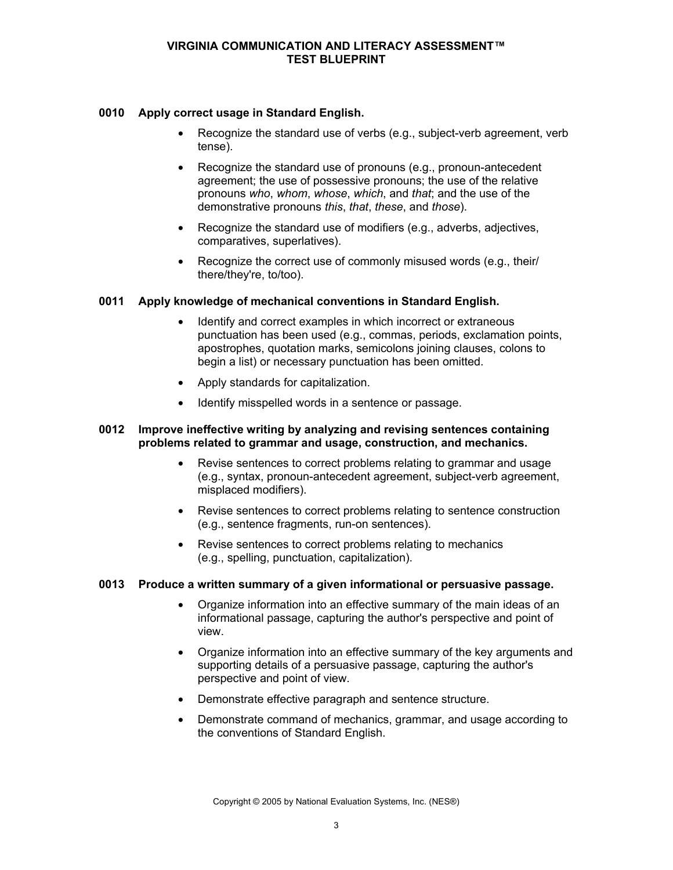#### **VIRGINIA COMMUNICATION AND LITERACY ASSESSMENT™ TEST BLUEPRINT**

## **0010 Apply correct usage in Standard English.**

- Recognize the standard use of verbs (e.g., subject-verb agreement, verb tense).
- Recognize the standard use of pronouns (e.g., pronoun-antecedent agreement; the use of possessive pronouns; the use of the relative pronouns *who*, *whom*, *whose*, *which*, and *that*; and the use of the demonstrative pronouns *this*, *that*, *these*, and *those*).
- Recognize the standard use of modifiers (e.g., adverbs, adjectives, comparatives, superlatives).
- Recognize the correct use of commonly misused words (e.g., their/ there/they're, to/too).

## **0011 Apply knowledge of mechanical conventions in Standard English.**

- Identify and correct examples in which incorrect or extraneous punctuation has been used (e.g., commas, periods, exclamation points, apostrophes, quotation marks, semicolons joining clauses, colons to begin a list) or necessary punctuation has been omitted.
- Apply standards for capitalization.
- Identify misspelled words in a sentence or passage.

## **0012 Improve ineffective writing by analyzing and revising sentences containing problems related to grammar and usage, construction, and mechanics.**

- Revise sentences to correct problems relating to grammar and usage (e.g., syntax, pronoun-antecedent agreement, subject-verb agreement, misplaced modifiers).
- Revise sentences to correct problems relating to sentence construction (e.g., sentence fragments, run-on sentences).
- Revise sentences to correct problems relating to mechanics (e.g., spelling, punctuation, capitalization).

## **0013 Produce a written summary of a given informational or persuasive passage.**

- Organize information into an effective summary of the main ideas of an informational passage, capturing the author's perspective and point of view.
- Organize information into an effective summary of the key arguments and supporting details of a persuasive passage, capturing the author's perspective and point of view.
- Demonstrate effective paragraph and sentence structure.
- Demonstrate command of mechanics, grammar, and usage according to the conventions of Standard English.